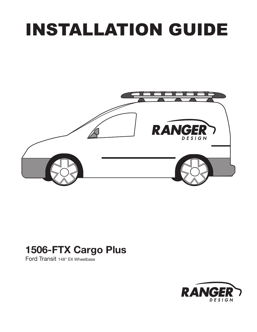# INSTALLATION GUIDE



# 1506-FTX Cargo Plus

Ford Transit 148" EX Wheelbase

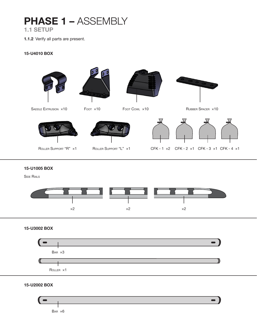# PHASE 1 - ASSEMBLY

1.1 SETUP

1.1.2 Verify all parts are present.

#### 15-U4010 BOX









SADDLE EXTRUSION ×10 FOOT ×10 FOOT COWL ×10 FOOT COM FOOT COM COMBER SPACER ×10







15-U1005 BOX

**SIDE RAILS** 



### 15-U3002 BOX



15-U2002 BOX

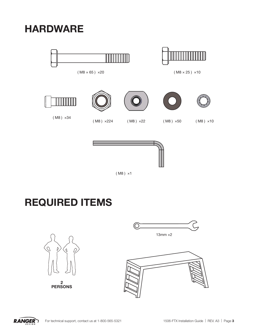HARDWARE





Ш

 $(M8 \times 65) \times 20$  ( $M8 \times 25) \times 10$ 



# REQUIRED ITEMS



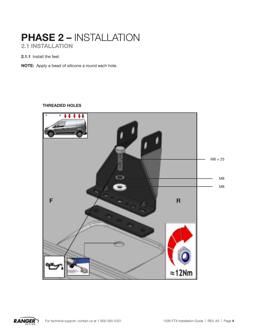# PHASE 2 – INSTALLATION 2.1 INSTALLATION

2.1.1 Install the feet.

NOTE: Apply a bead of silicone a round each hole.

#### THREADED HOLES



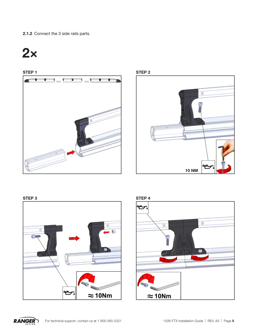2.1.2 Connect the 3 side rails parts.

# 2×





#### STEP 3 STEP 4







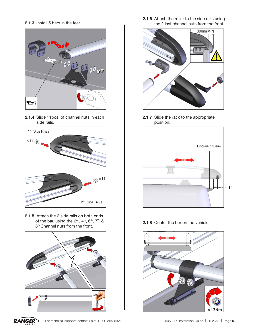2.1.3 Install 5 bars in the feet.



2.1.4 Slide 11pcs. of channel nuts in each side rails.



2.1.5 Attach the 2 side rails on both ends of the bar, using the  $2^{nd}$ ,  $4^{th}$ ,  $6^{th}$ ,  $7^{TH}$ & 8<sup>th</sup> Channel nuts from the front.



**RANGER** 

2.1.6 Attach the roller to the side rails using the 2 last channel nuts from the front.



2.1.7 Slide the rack to the appropriate position.



2.1.8 Center the bar on the vehicle.

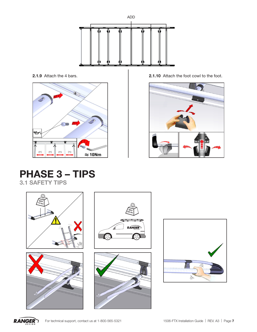



2.1.9 Attach the 4 bars. 2.1.10 Attach the foot cowl to the foot.



# PHASE 3 – TIPS 3.1 SAFETY TIPS